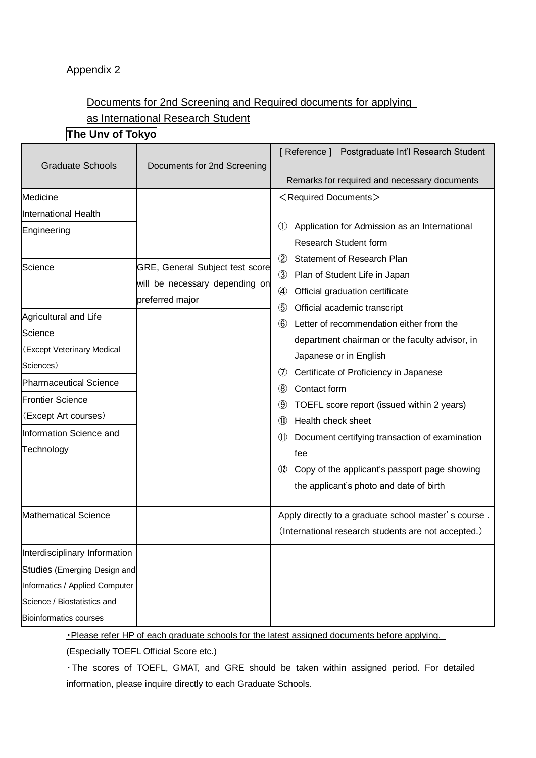#### Appendix 2

### Documents for 2nd Screening and Required documents for applying as International Research Student

| The Unv of Tokyo |
|------------------|
|------------------|

|                                |                                                   | [ Reference ] Postgraduate Int'l Research Student      |
|--------------------------------|---------------------------------------------------|--------------------------------------------------------|
| <b>Graduate Schools</b>        | Documents for 2nd Screening                       |                                                        |
|                                |                                                   | Remarks for required and necessary documents           |
| Medicine                       |                                                   | <required documents=""></required>                     |
| <b>International Health</b>    |                                                   |                                                        |
| Engineering                    |                                                   | Application for Admission as an International<br>(1)   |
|                                |                                                   | <b>Research Student form</b>                           |
| Science                        | GRE, General Subject test score                   | Statement of Research Plan<br>(2)                      |
|                                | will be necessary depending on<br>preferred major | Plan of Student Life in Japan<br>$\circled{3}$         |
|                                |                                                   | ④<br>Official graduation certificate                   |
| Agricultural and Life          |                                                   | $\circledS$<br>Official academic transcript            |
| Science                        |                                                   | 6 Letter of recommendation either from the             |
| (Except Veterinary Medical     |                                                   | department chairman or the faculty advisor, in         |
| Sciences)                      |                                                   | Japanese or in English                                 |
| <b>Pharmaceutical Science</b>  |                                                   | Certificate of Proficiency in Japanese<br>(7)          |
|                                |                                                   | Contact form<br>(8)                                    |
| <b>Frontier Science</b>        |                                                   | TOEFL score report (issued within 2 years)<br>(9)      |
| (Except Art courses)           |                                                   | Health check sheet<br>(10)                             |
| Information Science and        |                                                   | Document certifying transaction of examination<br>(11) |
| Technology                     |                                                   | fee                                                    |
|                                |                                                   | Copy of the applicant's passport page showing<br>(12)  |
|                                |                                                   | the applicant's photo and date of birth                |
| <b>Mathematical Science</b>    |                                                   | Apply directly to a graduate school master's course.   |
|                                |                                                   | (International research students are not accepted.)    |
| Interdisciplinary Information  |                                                   |                                                        |
| Studies (Emerging Design and   |                                                   |                                                        |
| Informatics / Applied Computer |                                                   |                                                        |
| Science / Biostatistics and    |                                                   |                                                        |
| <b>Bioinformatics courses</b>  |                                                   |                                                        |

・Please refer HP of each graduate schools for the latest assigned documents before applying.

(Especially TOEFL Official Score etc.)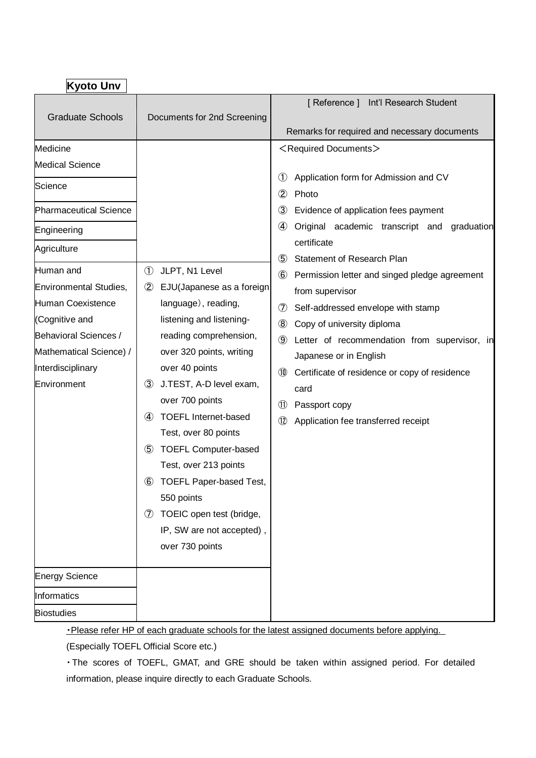| <b>Kyoto Unv</b>                                                                                                                                                                                                                                                                          |                                                                                                                                                                                                                                                                                                                                                                                                                                                                                                                                                                                   |                                                                                                                                                                                                                                                                                                                                                                                                                                                                                                                                                                                                                                                                                                                                                                                                                                                                                                                              |
|-------------------------------------------------------------------------------------------------------------------------------------------------------------------------------------------------------------------------------------------------------------------------------------------|-----------------------------------------------------------------------------------------------------------------------------------------------------------------------------------------------------------------------------------------------------------------------------------------------------------------------------------------------------------------------------------------------------------------------------------------------------------------------------------------------------------------------------------------------------------------------------------|------------------------------------------------------------------------------------------------------------------------------------------------------------------------------------------------------------------------------------------------------------------------------------------------------------------------------------------------------------------------------------------------------------------------------------------------------------------------------------------------------------------------------------------------------------------------------------------------------------------------------------------------------------------------------------------------------------------------------------------------------------------------------------------------------------------------------------------------------------------------------------------------------------------------------|
| <b>Graduate Schools</b>                                                                                                                                                                                                                                                                   | Documents for 2nd Screening                                                                                                                                                                                                                                                                                                                                                                                                                                                                                                                                                       | [Reference] Int'l Research Student<br>Remarks for required and necessary documents                                                                                                                                                                                                                                                                                                                                                                                                                                                                                                                                                                                                                                                                                                                                                                                                                                           |
| Medicine<br><b>Medical Science</b><br>Science<br><b>Pharmaceutical Science</b><br>Engineering<br>Agriculture<br>Human and<br><b>Environmental Studies,</b><br>Human Coexistence<br>(Cognitive and<br>Behavioral Sciences /<br>Mathematical Science) /<br>Interdisciplinary<br>Environment | $\circled{1}$<br>JLPT, N1 Level<br>$^{\circledR}$<br>EJU(Japanese as a foreign<br>language), reading,<br>listening and listening-<br>reading comprehension,<br>over 320 points, writing<br>over 40 points<br>J.TEST, A-D level exam,<br>$\circled{3}$<br>over 700 points<br><b>TOEFL Internet-based</b><br>$\bf(4)$<br>Test, over 80 points<br><b>TOEFL Computer-based</b><br>$\circledS$<br>Test, over 213 points<br>$\circled{6}$<br><b>TOEFL Paper-based Test,</b><br>550 points<br>TOEIC open test (bridge,<br>$\circledcirc$<br>IP, SW are not accepted),<br>over 730 points | <required documents=""><br/><math>\circled{1}</math><br/>Application form for Admission and CV<br/><math>\circled{2}</math><br/>Photo<br/><math>\circled{3}</math><br/>Evidence of application fees payment<br/><math>\circled{4}</math><br/>Original academic transcript and<br/>graduation<br/>certificate<br/><math>\circledS</math><br/>Statement of Research Plan<br/><math>\circled6</math><br/>Permission letter and singed pledge agreement<br/>from supervisor<br/><math>\circledcirc</math><br/>Self-addressed envelope with stamp<br/><math>\circledR</math><br/>Copy of university diploma<br/><math>\circled{9}</math><br/>Letter of recommendation from supervisor, in<br/>Japanese or in English<br/>(10)<br/>Certificate of residence or copy of residence<br/>card<br/><math>\circled{\textsf{n}}</math><br/>Passport copy<br/><math>\circled{12}</math><br/>Application fee transferred receipt</required> |
| <b>Energy Science</b>                                                                                                                                                                                                                                                                     |                                                                                                                                                                                                                                                                                                                                                                                                                                                                                                                                                                                   |                                                                                                                                                                                                                                                                                                                                                                                                                                                                                                                                                                                                                                                                                                                                                                                                                                                                                                                              |
| Informatics                                                                                                                                                                                                                                                                               |                                                                                                                                                                                                                                                                                                                                                                                                                                                                                                                                                                                   |                                                                                                                                                                                                                                                                                                                                                                                                                                                                                                                                                                                                                                                                                                                                                                                                                                                                                                                              |
| <b>Biostudies</b>                                                                                                                                                                                                                                                                         |                                                                                                                                                                                                                                                                                                                                                                                                                                                                                                                                                                                   |                                                                                                                                                                                                                                                                                                                                                                                                                                                                                                                                                                                                                                                                                                                                                                                                                                                                                                                              |

• Please refer HP of each graduate schools for the latest assigned documents before applying.

(Especially TOEFL Official Score etc.)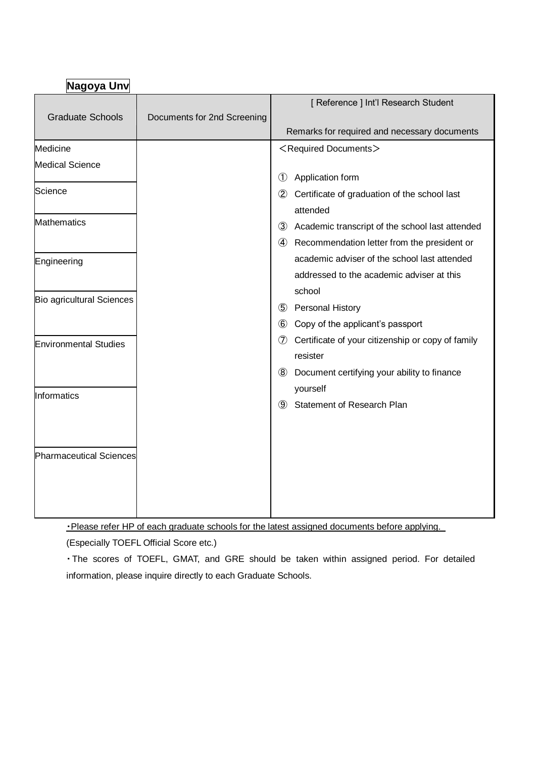| Nagoya Unv                       |                             |                |                                                               |
|----------------------------------|-----------------------------|----------------|---------------------------------------------------------------|
| <b>Graduate Schools</b>          | Documents for 2nd Screening |                | [ Reference ] Int'l Research Student                          |
|                                  |                             |                | Remarks for required and necessary documents                  |
| Medicine                         |                             |                | <required documents=""></required>                            |
| <b>Medical Science</b>           |                             |                |                                                               |
| Science                          |                             | $\circled{1}$  | Application form                                              |
|                                  |                             | $\circled{2}$  | Certificate of graduation of the school last<br>attended      |
| <b>Mathematics</b>               |                             | $\circled{3}$  | Academic transcript of the school last attended               |
|                                  |                             |                | 4 Recommendation letter from the president or                 |
| Engineering                      |                             |                | academic adviser of the school last attended                  |
|                                  |                             |                | addressed to the academic adviser at this                     |
| <b>Bio agricultural Sciences</b> |                             |                | school                                                        |
|                                  |                             |                | 5 Personal History                                            |
|                                  |                             | $\circled{6}$  | Copy of the applicant's passport                              |
| <b>Environmental Studies</b>     |                             | $\circledcirc$ | Certificate of your citizenship or copy of family<br>resister |
|                                  |                             | $\circled{8}$  | Document certifying your ability to finance<br>yourself       |
| Informatics                      |                             | $\circled{9}$  | <b>Statement of Research Plan</b>                             |
| <b>Pharmaceutical Sciences</b>   |                             |                |                                                               |
|                                  |                             |                |                                                               |

・Please refer HP of each graduate schools for the latest assigned documents before applying.

(Especially TOEFL Official Score etc.)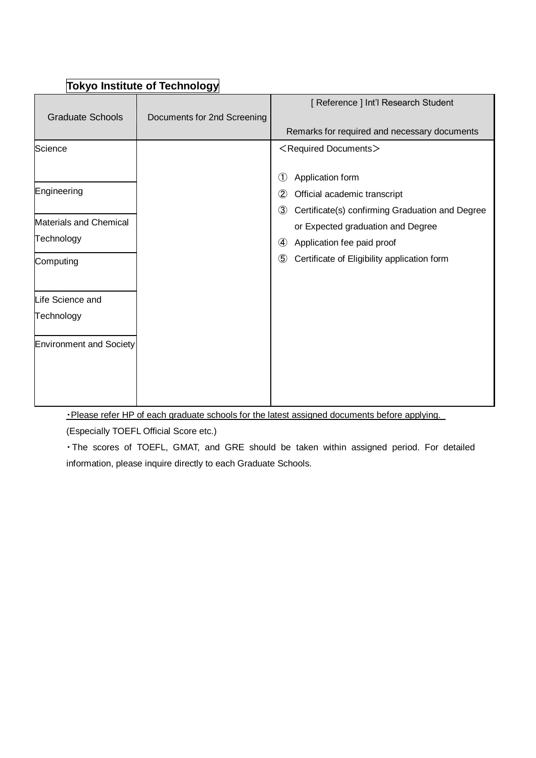| $\left\lceil \text{conv}_{\mathbf{U}} \right\rceil$ וערישט ווואסונוגוני פון ווי |                             |                                                                  |  |
|---------------------------------------------------------------------------------|-----------------------------|------------------------------------------------------------------|--|
|                                                                                 |                             | [ Reference ] Int'l Research Student                             |  |
| <b>Graduate Schools</b>                                                         | Documents for 2nd Screening |                                                                  |  |
|                                                                                 |                             | Remarks for required and necessary documents                     |  |
| Science                                                                         |                             | <required documents=""></required>                               |  |
|                                                                                 |                             |                                                                  |  |
|                                                                                 |                             | $\textcircled{\small{1}}$<br>Application form                    |  |
| Engineering                                                                     |                             | $^{\circledR}$<br>Official academic transcript                   |  |
|                                                                                 |                             | $\circled{3}$<br>Certificate(s) confirming Graduation and Degree |  |
| <b>Materials and Chemical</b>                                                   |                             | or Expected graduation and Degree                                |  |
| Technology                                                                      |                             | Application fee paid proof<br>$\left( 4\right)$                  |  |
| Computing                                                                       |                             | $\circledS$<br>Certificate of Eligibility application form       |  |
| Life Science and                                                                |                             |                                                                  |  |
| Technology                                                                      |                             |                                                                  |  |
| <b>Environment and Society</b>                                                  |                             |                                                                  |  |
|                                                                                 |                             |                                                                  |  |
|                                                                                 |                             |                                                                  |  |
|                                                                                 |                             |                                                                  |  |

## **Tokyo Institute of Technology**

・Please refer HP of each graduate schools for the latest assigned documents before applying.

(Especially TOEFL Official Score etc.)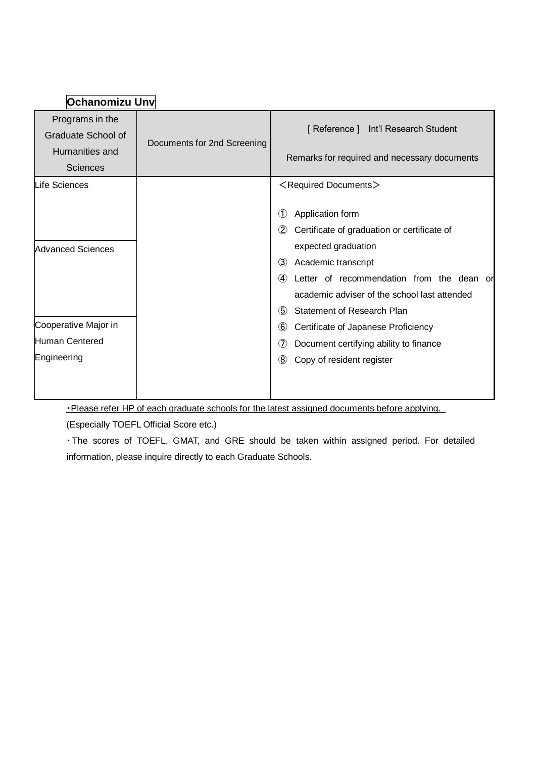| Ochanomizu Unv                        |                             |                                                              |
|---------------------------------------|-----------------------------|--------------------------------------------------------------|
| Programs in the<br>Graduate School of | Documents for 2nd Screening | [Reference] Int'l Research Student                           |
| Humanities and                        |                             | Remarks for required and necessary documents                 |
| <b>Sciences</b>                       |                             |                                                              |
| <b>Life Sciences</b>                  |                             | <required documents=""></required>                           |
|                                       |                             | Application form<br>(1)                                      |
|                                       |                             | $\circled{2}$<br>Certificate of graduation or certificate of |
| <b>Advanced Sciences</b>              |                             | expected graduation                                          |
|                                       |                             | $\circled{3}$<br>Academic transcript                         |
|                                       |                             | $\bf(4)$<br>Letter of recommendation from the dean or        |
|                                       |                             | academic adviser of the school last attended                 |
|                                       |                             | $\circledS$<br>Statement of Research Plan                    |
| Cooperative Major in                  |                             | $\circledast$<br>Certificate of Japanese Proficiency         |
| Human Centered                        |                             | $\circledcirc$<br>Document certifying ability to finance     |
| Engineering                           |                             | $\circledR$<br>Copy of resident register                     |
|                                       |                             |                                                              |

#### ・Please refer HP of each graduate schools for the latest assigned documents before applying.

(Especially TOEFL Official Score etc.)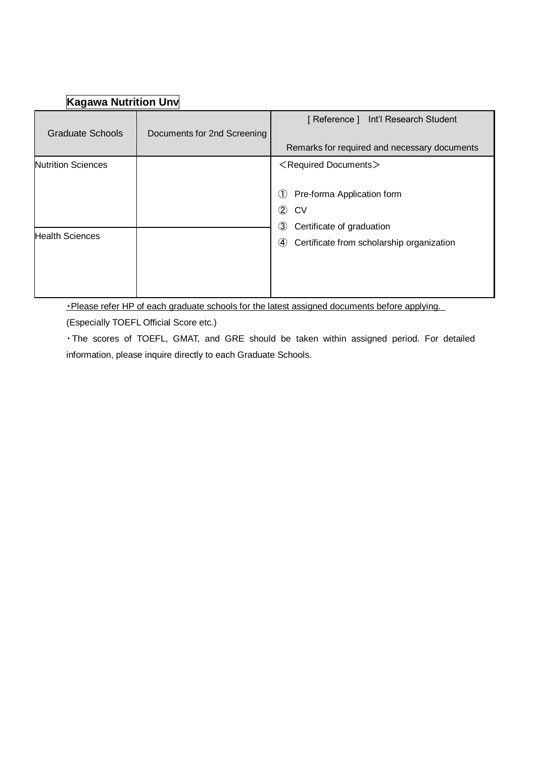# **Kagawa Nutrition Unv**

| <b>Graduate Schools</b>                             | Documents for 2nd Screening | [Reference] Int'l Research Student<br>Remarks for required and necessary documents                                                                                                                                         |
|-----------------------------------------------------|-----------------------------|----------------------------------------------------------------------------------------------------------------------------------------------------------------------------------------------------------------------------|
| <b>Nutrition Sciences</b><br><b>Health Sciences</b> |                             | <required documents=""><br/>Pre-forma Application form<br/>(1)<br/><math>\circledZ</math><br/>CV<br/>③<br/>Certificate of graduation<br/>Certificate from scholarship organization<br/><math>\circled{4}</math></required> |

・Please refer HP of each graduate schools for the latest assigned documents before applying.

(Especially TOEFL Official Score etc.)